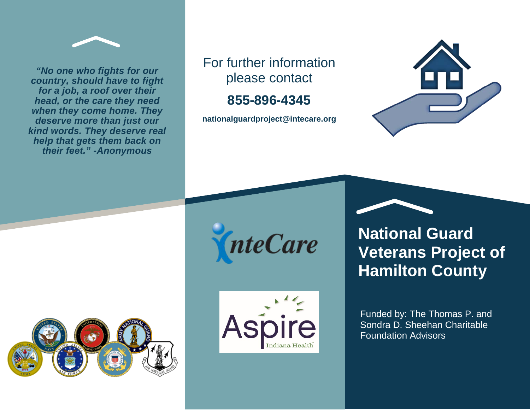

*"No one who fights for our country, should have to fight for a job, a roof over their head, or the care they need when they come home. They deserve more than just our kind words. They deserve real help that gets them back on their feet." -Anonymous*



**855-896-4345**

**nationalguardproject@intecare.org**









**National Guard Veterans Project of Hamilton County**

Funded by: The Thomas P. and Sondra D. Sheehan Charitable Foundation Advisors